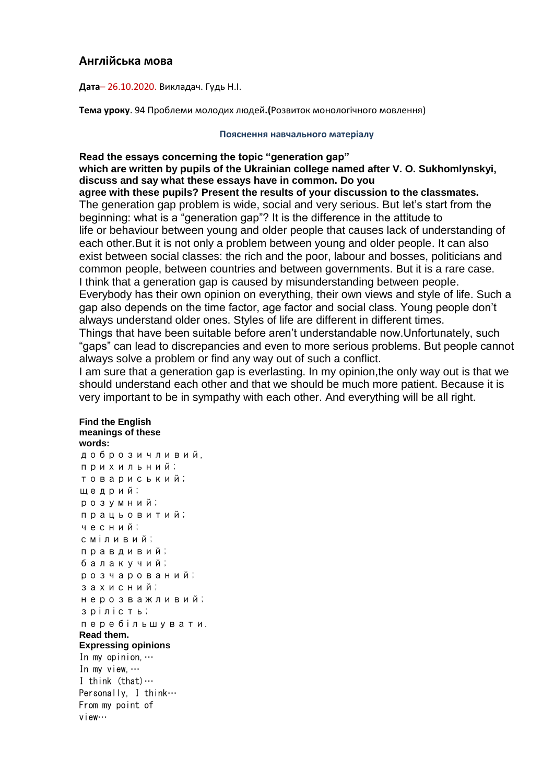## **Англійська мова**

**Дата**– 26.10.2020. Викладач. Гудь Н.І.

**Тема уроку**. 94 Проблеми молодих людей**.(**Розвиток монологічного мовлення)

## **Пояснення навчального матеріалу**

**Read the essays concerning the topic "generation gap" which are written by pupils of the Ukrainian college named after V. O. Sukhomlynskyi, discuss and say what these essays have in common. Do you**

**agree with these pupils? Present the results of your discussion to the classmates.** The generation gap problem is wide, social and very serious. But let's start from the beginning: what is a "generation gap"? It is the difference in the attitude to life or behaviour between young and older people that causes lack of understanding of each other.But it is not only a problem between young and older people. It can also exist between social classes: the rich and the poor, labour and bosses, politicians and common people, between countries and between governments. But it is a rare case. I think that a generation gap is caused by misunderstanding between people. Everybody has their own opinion on everything, their own views and style of life. Such a gap also depends on the time factor, age factor and social class. Young people don't always understand older ones. Styles of life are different in different times. Things that have been suitable before aren't understandable now.Unfortunately, such

"gaps" can lead to discrepancies and even to more serious problems. But people cannot always solve a problem or find any way out of such a conflict. I am sure that a generation gap is everlasting. In my opinion,the only way out is that we

should understand each other and that we should be much more patient. Because it is very important to be in sympathy with each other. And everything will be all right.

## **Find the English meanings of these words:**

доброзичливий, прихильний; товариський; щедрий; розумний; працьовитий; чесний; сміливий; правдивий; балакучий; розчарований; захисний; нерозважливий; зрілість; перебільшувати. **Read them. Expressing opinions** In my opinion,… In my view,… I think (that)… Personally, I think… From my point of view…